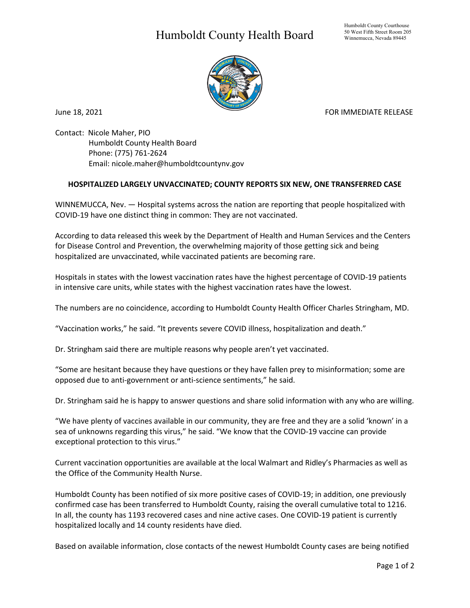## Humboldt County Health Board



June 18, 2021 **FOR IMMEDIATE RELEASE** 

Contact: Nicole Maher, PIO Humboldt County Health Board Phone: (775) 761-2624 Email: nicole.maher@humboldtcountynv.gov

## **HOSPITALIZED LARGELY UNVACCINATED; COUNTY REPORTS SIX NEW, ONE TRANSFERRED CASE**

WINNEMUCCA, Nev. — Hospital systems across the nation are reporting that people hospitalized with COVID-19 have one distinct thing in common: They are not vaccinated.

According to data released this week by the Department of Health and Human Services and the Centers for Disease Control and Prevention, the overwhelming majority of those getting sick and being hospitalized are unvaccinated, while vaccinated patients are becoming rare.

Hospitals in states with the lowest vaccination rates have the highest percentage of COVID-19 patients in intensive care units, while states with the highest vaccination rates have the lowest.

The numbers are no coincidence, according to Humboldt County Health Officer Charles Stringham, MD.

"Vaccination works," he said. "It prevents severe COVID illness, hospitalization and death."

Dr. Stringham said there are multiple reasons why people aren't yet vaccinated.

"Some are hesitant because they have questions or they have fallen prey to misinformation; some are opposed due to anti-government or anti-science sentiments," he said.

Dr. Stringham said he is happy to answer questions and share solid information with any who are willing.

"We have plenty of vaccines available in our community, they are free and they are a solid 'known' in a sea of unknowns regarding this virus," he said. "We know that the COVID-19 vaccine can provide exceptional protection to this virus."

Current vaccination opportunities are available at the local Walmart and Ridley's Pharmacies as well as the Office of the Community Health Nurse.

Humboldt County has been notified of six more positive cases of COVID-19; in addition, one previously confirmed case has been transferred to Humboldt County, raising the overall cumulative total to 1216. In all, the county has 1193 recovered cases and nine active cases. One COVID-19 patient is currently hospitalized locally and 14 county residents have died.

Based on available information, close contacts of the newest Humboldt County cases are being notified